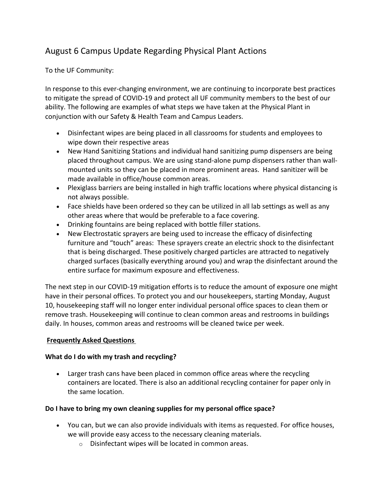# August 6 Campus Update Regarding Physical Plant Actions

To the UF Community:

In response to this ever-changing environment, we are continuing to incorporate best practices to mitigate the spread of COVID-19 and protect all UF community members to the best of our ability. The following are examples of what steps we have taken at the Physical Plant in conjunction with our Safety & Health Team and Campus Leaders.

- Disinfectant wipes are being placed in all classrooms for students and employees to wipe down their respective areas
- New Hand Sanitizing Stations and individual hand sanitizing pump dispensers are being placed throughout campus. We are using stand-alone pump dispensers rather than wallmounted units so they can be placed in more prominent areas. Hand sanitizer will be made available in office/house common areas.
- Plexiglass barriers are being installed in high traffic locations where physical distancing is not always possible.
- Face shields have been ordered so they can be utilized in all lab settings as well as any other areas where that would be preferable to a face covering.
- Drinking fountains are being replaced with bottle filler stations.
- New Electrostatic sprayers are being used to increase the efficacy of disinfecting furniture and "touch" areas: These sprayers create an electric shock to the disinfectant that is being discharged. These positively charged particles are attracted to negatively charged surfaces (basically everything around you) and wrap the disinfectant around the entire surface for maximum exposure and effectiveness.

The next step in our COVID-19 mitigation efforts is to reduce the amount of exposure one might have in their personal offices. To protect you and our housekeepers, starting Monday, August 10, housekeeping staff will no longer enter individual personal office spaces to clean them or remove trash. Housekeeping will continue to clean common areas and restrooms in buildings daily. In houses, common areas and restrooms will be cleaned twice per week.

## **Frequently Asked Questions**

## **What do I do with my trash and recycling?**

• Larger trash cans have been placed in common office areas where the recycling containers are located. There is also an additional recycling container for paper only in the same location.

## **Do I have to bring my own cleaning supplies for my personal office space?**

- You can, but we can also provide individuals with items as requested. For office houses, we will provide easy access to the necessary cleaning materials.
	- o Disinfectant wipes will be located in common areas.